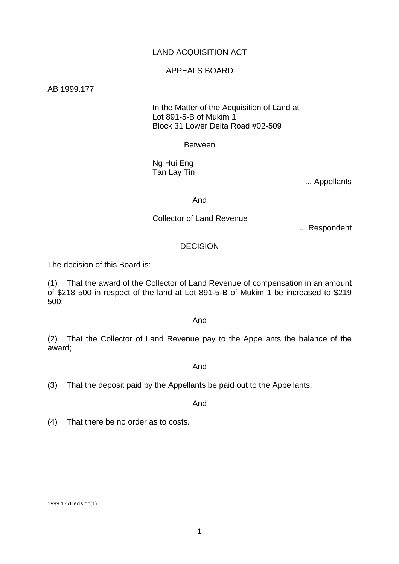# LAND ACQUISITION ACT

## APPEALS BOARD

AB 1999.177

 In the Matter of the Acquisition of Land at Lot 891-5-B of Mukim 1 Block 31 Lower Delta Road #02-509

Between

 Ng Hui Eng Tan Lay Tin

... Appellants

And

Collector of Land Revenue

... Respondent

#### DECISION

The decision of this Board is:

(1) That the award of the Collector of Land Revenue of compensation in an amount of \$218 500 in respect of the land at Lot 891-5-B of Mukim 1 be increased to \$219 500;

## And

(2) That the Collector of Land Revenue pay to the Appellants the balance of the award;

And

(3) That the deposit paid by the Appellants be paid out to the Appellants;

And

(4) That there be no order as to costs.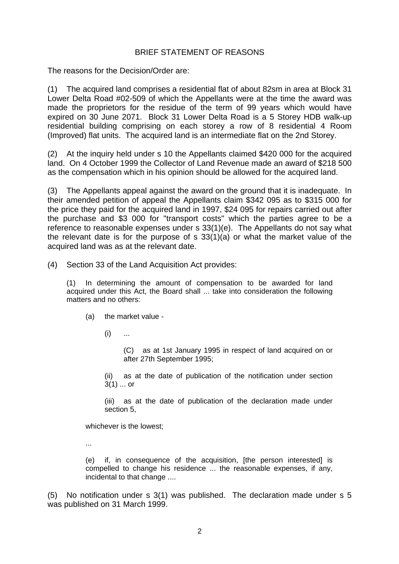# BRIEF STATEMENT OF REASONS

The reasons for the Decision/Order are:

(1) The acquired land comprises a residential flat of about 82sm in area at Block 31 Lower Delta Road #02-509 of which the Appellants were at the time the award was made the proprietors for the residue of the term of 99 years which would have expired on 30 June 2071. Block 31 Lower Delta Road is a 5 Storey HDB walk-up residential building comprising on each storey a row of 8 residential 4 Room (Improved) flat units. The acquired land is an intermediate flat on the 2nd Storey.

(2) At the inquiry held under s 10 the Appellants claimed \$420 000 for the acquired land. On 4 October 1999 the Collector of Land Revenue made an award of \$218 500 as the compensation which in his opinion should be allowed for the acquired land.

(3) The Appellants appeal against the award on the ground that it is inadequate. In their amended petition of appeal the Appellants claim \$342 095 as to \$315 000 for the price they paid for the acquired land in 1997, \$24 095 for repairs carried out after the purchase and \$3 000 for "transport costs" which the parties agree to be a reference to reasonable expenses under s 33(1)(e). The Appellants do not say what the relevant date is for the purpose of s 33(1)(a) or what the market value of the acquired land was as at the relevant date.

(4) Section 33 of the Land Acquisition Act provides:

(1) In determining the amount of compensation to be awarded for land acquired under this Act, the Board shall ... take into consideration the following matters and no others:

(a) the market value -

 $(i)$  ...

(C) as at 1st January 1995 in respect of land acquired on or after 27th September 1995;

(ii) as at the date of publication of the notification under section 3(1) ... or

(iii) as at the date of publication of the declaration made under section 5,

whichever is the lowest;

...

(e) if, in consequence of the acquisition, [the person interested] is compelled to change his residence ... the reasonable expenses, if any, incidental to that change ....

(5) No notification under s 3(1) was published. The declaration made under s 5 was published on 31 March 1999.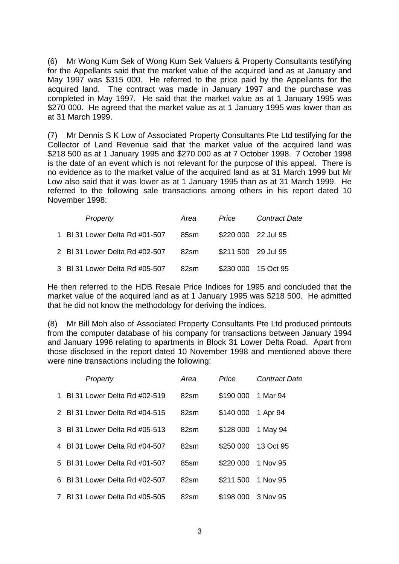(6) Mr Wong Kum Sek of Wong Kum Sek Valuers & Property Consultants testifying for the Appellants said that the market value of the acquired land as at January and May 1997 was \$315 000. He referred to the price paid by the Appellants for the acquired land. The contract was made in January 1997 and the purchase was completed in May 1997. He said that the market value as at 1 January 1995 was \$270 000. He agreed that the market value as at 1 January 1995 was lower than as at 31 March 1999.

(7) Mr Dennis S K Low of Associated Property Consultants Pte Ltd testifying for the Collector of Land Revenue said that the market value of the acquired land was \$218 500 as at 1 January 1995 and \$270 000 as at 7 October 1998. 7 October 1998 is the date of an event which is not relevant for the purpose of this appeal. There is no evidence as to the market value of the acquired land as at 31 March 1999 but Mr Low also said that it was lower as at 1 January 1995 than as at 31 March 1999. He referred to the following sale transactions among others in his report dated 10 November 1998:

| Property                       | Area | Price               | <b>Contract Date</b> |
|--------------------------------|------|---------------------|----------------------|
| 1 BI 31 Lower Delta Rd #01-507 | 85sm | \$220 000 22 Jul 95 |                      |
| 2 BI 31 Lower Delta Rd #02-507 | 82sm | \$211 500 29 Jul 95 |                      |
| 3 BI 31 Lower Delta Rd #05-507 | 82sm |                     | \$230 000 15 Oct 95  |

He then referred to the HDB Resale Price Indices for 1995 and concluded that the market value of the acquired land as at 1 January 1995 was \$218 500. He admitted that he did not know the methodology for deriving the indices.

(8) Mr Bill Moh also of Associated Property Consultants Pte Ltd produced printouts from the computer database of his company for transactions between January 1994 and January 1996 relating to apartments in Block 31 Lower Delta Road. Apart from those disclosed in the report dated 10 November 1998 and mentioned above there were nine transactions including the following:

|    | Property                       | Area             | Price     | <b>Contract Date</b> |
|----|--------------------------------|------------------|-----------|----------------------|
| 1. | BI 31 Lower Delta Rd #02-519   | 82 <sub>sm</sub> | \$190 000 | 1 Mar 94             |
| 2  | - BI 31 Lower Delta Rd #04-515 | 82sm             | \$140 000 | 1 Apr 94             |
| 3  | BI 31 Lower Delta Rd #05-513   | 82sm             | \$128 000 | 1 May 94             |
| 4  | BI 31 Lower Delta Rd #04-507   | 82 <sub>sm</sub> | \$250 000 | 13 Oct 95            |
| 5. | BI 31 Lower Delta Rd #01-507   | 85sm             | \$220 000 | 1 Nov 95             |
| 6. | BI 31 Lower Delta Rd #02-507   | 82 <sub>sm</sub> | \$211 500 | 1 Nov 95             |
|    | BL31 Lower Delta Rd #05-505    | 82sm             | \$198 000 | 3 Nov 95             |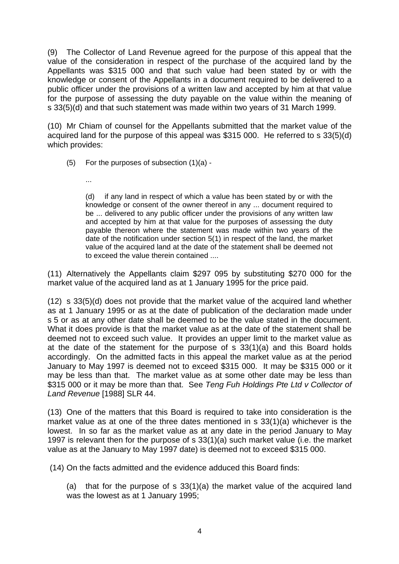(9) The Collector of Land Revenue agreed for the purpose of this appeal that the value of the consideration in respect of the purchase of the acquired land by the Appellants was \$315 000 and that such value had been stated by or with the knowledge or consent of the Appellants in a document required to be delivered to a public officer under the provisions of a written law and accepted by him at that value for the purpose of assessing the duty payable on the value within the meaning of s 33(5)(d) and that such statement was made within two years of 31 March 1999.

(10) Mr Chiam of counsel for the Appellants submitted that the market value of the acquired land for the purpose of this appeal was \$315 000. He referred to s 33(5)(d) which provides:

(5) For the purposes of subsection (1)(a) -

...

(d) if any land in respect of which a value has been stated by or with the knowledge or consent of the owner thereof in any ... document required to be ... delivered to any public officer under the provisions of any written law and accepted by him at that value for the purposes of assessing the duty payable thereon where the statement was made within two years of the date of the notification under section 5(1) in respect of the land, the market value of the acquired land at the date of the statement shall be deemed not to exceed the value therein contained ....

(11) Alternatively the Appellants claim \$297 095 by substituting \$270 000 for the market value of the acquired land as at 1 January 1995 for the price paid.

(12) s 33(5)(d) does not provide that the market value of the acquired land whether as at 1 January 1995 or as at the date of publication of the declaration made under s 5 or as at any other date shall be deemed to be the value stated in the document. What it does provide is that the market value as at the date of the statement shall be deemed not to exceed such value. It provides an upper limit to the market value as at the date of the statement for the purpose of s 33(1)(a) and this Board holds accordingly. On the admitted facts in this appeal the market value as at the period January to May 1997 is deemed not to exceed \$315 000. It may be \$315 000 or it may be less than that. The market value as at some other date may be less than \$315 000 or it may be more than that. See *Teng Fuh Holdings Pte Ltd v Collector of Land Revenue* [1988] SLR 44.

(13) One of the matters that this Board is required to take into consideration is the market value as at one of the three dates mentioned in s 33(1)(a) whichever is the lowest. In so far as the market value as at any date in the period January to May 1997 is relevant then for the purpose of s 33(1)(a) such market value (i.e. the market value as at the January to May 1997 date) is deemed not to exceed \$315 000.

(14) On the facts admitted and the evidence adduced this Board finds:

 (a) that for the purpose of s 33(1)(a) the market value of the acquired land was the lowest as at 1 January 1995;